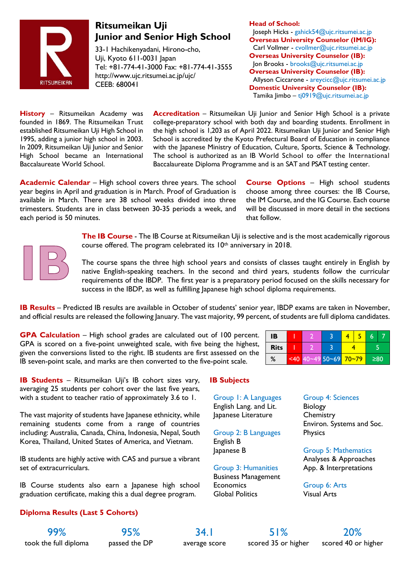

# **Ritsumeikan Uji Junior and Senior High School**

33-1 Hachikenyadani, Hirono-cho, Uji, Kyoto 611-0031 Japan Tel: +81-774-41-3000 Fax: +81-774-41-3555 http://www.ujc.ritsumei.ac.jp/ujc/ CEEB: 680041

**Head of School:** Joseph Hicks - gahick54@ujc.ritsumei.ac.jp **Overseas University Counselor (IM/IG):** Carl Vollmer - cvollmer@ujc.ritsumei.ac.jp **Overseas University Counselor (IB):** Jon Brooks - brooks@ujc.ritsumei.ac.jp **Overseas University Counselor (IB):** Allyson Ciccarone - areycicc@ujc.ritsumei.ac.jp **Domestic University Counselor (IB):** Tamika Jimbo – tj0919@ujc.ritsumei.ac.jp

**History** – Ritsumeikan Academy was founded in 1869. The Ritsumeikan Trust established Ritsumeikan Uji High School in 1995, adding a junior high school in 2003. In 2009, Ritsumeikan Uji Junior and Senior High School became an International Baccalaureate World School.

**Accreditation** – Ritsumeikan Uji Junior and Senior High School is a private college-preparatory school with both day and boarding students. Enrollment in the high school is 1,203 as of April 2022. Ritsumeikan Uji Junior and Senior High School is accredited by the Kyoto Prefectural Board of Education in compliance with the Japanese Ministry of Education, Culture, Sports, Science & Technology. The school is authorized as an IB World School to offer the International Baccalaureate Diploma Programme and is an SAT and PSAT testing center.

**Academic Calendar** – High school covers three years. The school year begins in April and graduation is in March. Proof of Graduation is available in March. There are 38 school weeks divided into three trimesters. Students are in class between 30-35 periods a week, and each period is 50 minutes.

**Course Options** – High school students choose among three courses: the IB Course, the IM Course, and the IG Course. Each course will be discussed in more detail in the sections that follow.



**The IB Course** - The IB Course at Ritsumeikan Uji is selective and is the most academically rigorous course offered. The program celebrated its 10th anniversary in 2018.

The course spans the three high school years and consists of classes taught entirely in English by native English-speaking teachers. In the second and third years, students follow the curricular requirements of the IBDP. The first year is a preparatory period focused on the skills necessary for success in the IBDP, as well as fulfilling Japanese high school diploma requirements.

**IB Results** – Predicted IB results are available in October of students' senior year, IBDP exams are taken in November, and official results are released the following January. The vast majority, 99 percent, of students are full diploma candidates.

**GPA Calculation** – High school grades are calculated out of 100 percent. GPA is scored on a five-point unweighted scale, with five being the highest, given the conversions listed to the right. IB students are first assessed on the IB seven-point scale, and marks are then converted to the five-point scale.

| IB          |      |                   |  |  |     |  |
|-------------|------|-------------------|--|--|-----|--|
| <b>Rits</b> |      |                   |  |  |     |  |
| %           | < 40 | 40~49 50~69 70~79 |  |  | ≥80 |  |

**IB Students** – Ritsumeikan Uji's IB cohort sizes vary, averaging 25 students per cohort over the last five years, with a student to teacher ratio of approximately 3.6 to 1.

The vast majority of students have Japanese ethnicity, while remaining students come from a range of countries including: Australia, Canada, China, Indonesia, Nepal, South Korea, Thailand, United States of America, and Vietnam.

IB students are highly active with CAS and pursue a vibrant set of extracurriculars.

IB Course students also earn a Japanese high school graduation certificate, making this a dual degree program.

# **Diploma Results (Last 5 Cohorts)**

Group 1: A Languages

**IB Subjects**

English Lang. and Lit. Japanese Literature

Group 2: B Languages English B Japanese B

Group 3: Humanities Business Management **Economics** Global Politics

#### Group 4: Sciences

Biology **Chemistry** Environ. Systems and Soc. **Physics** 

## Group 5: Mathematics

Analyses & Approaches App. & Interpretations

Group 6: Arts Visual Arts

took the full diploma passed the DP average score scored 35 or higher scored 40 or higher

99% 95% 34.1 51% 20%